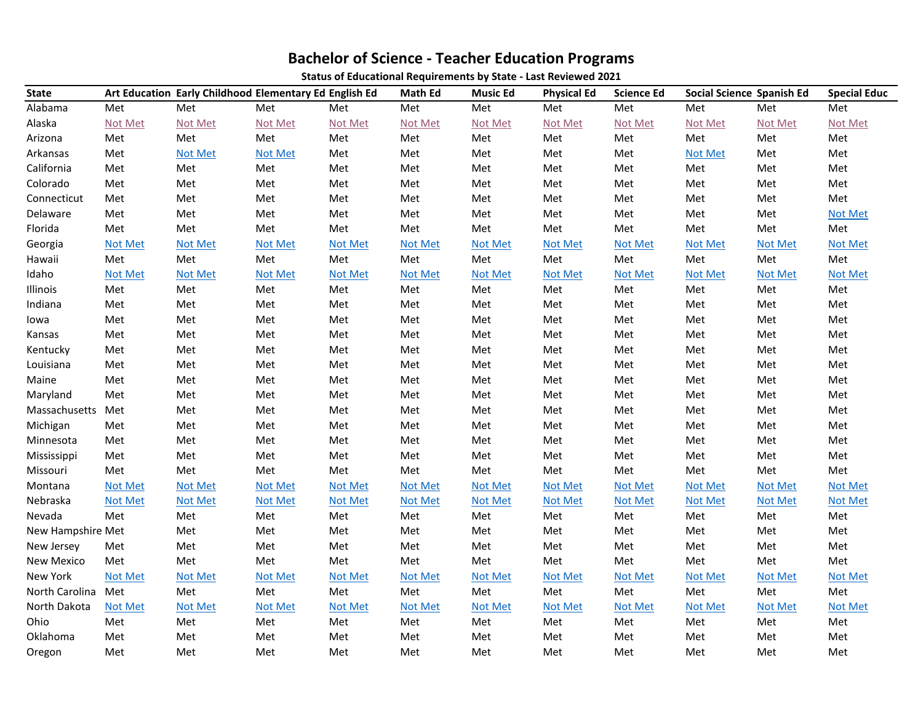## **Bachelor of Science - Teacher Education Programs**

**Status of Educational Requirements by State - Last Reviewed 2021**

| <b>State</b>      | Art Education Early Childhood Elementary Ed English Ed |                |                |                | <b>Math Ed</b> | <b>Music Ed</b> | <b>Physical Ed</b> | <b>Science Ed</b> | <b>Social Science Spanish Ed</b> |                | <b>Special Educ</b> |
|-------------------|--------------------------------------------------------|----------------|----------------|----------------|----------------|-----------------|--------------------|-------------------|----------------------------------|----------------|---------------------|
| Alabama           | Met                                                    | Met            | Met            | Met            | Met            | Met             | Met                | Met               | Met                              | Met            | Met                 |
| Alaska            | Not Met                                                | Not Met        | Not Met        | Not Met        | Not Met        | Not Met         | Not Met            | Not Met           | Not Met                          | Not Met        | Not Met             |
| Arizona           | Met                                                    | Met            | Met            | Met            | Met            | Met             | Met                | Met               | Met                              | Met            | Met                 |
| Arkansas          | Met                                                    | Not Met        | <b>Not Met</b> | Met            | Met            | Met             | Met                | Met               | Not Met                          | Met            | Met                 |
| California        | Met                                                    | Met            | Met            | Met            | Met            | Met             | Met                | Met               | Met                              | Met            | Met                 |
| Colorado          | Met                                                    | Met            | Met            | Met            | Met            | Met             | Met                | Met               | Met                              | Met            | Met                 |
| Connecticut       | Met                                                    | Met            | Met            | Met            | Met            | Met             | Met                | Met               | Met                              | Met            | Met                 |
| Delaware          | Met                                                    | Met            | Met            | Met            | Met            | Met             | Met                | Met               | Met                              | Met            | <b>Not Met</b>      |
| Florida           | Met                                                    | Met            | Met            | Met            | Met            | Met             | Met                | Met               | Met                              | Met            | Met                 |
| Georgia           | Not Met                                                | <b>Not Met</b> | <b>Not Met</b> | <b>Not Met</b> | Not Met        | Not Met         | Not Met            | <b>Not Met</b>    | <b>Not Met</b>                   | <b>Not Met</b> | <b>Not Met</b>      |
| Hawaii            | Met                                                    | Met            | Met            | Met            | Met            | Met             | Met                | Met               | Met                              | Met            | Met                 |
| Idaho             | Not Met                                                | <b>Not Met</b> | <b>Not Met</b> | Not Met        | <b>Not Met</b> | Not Met         | Not Met            | <b>Not Met</b>    | Not Met                          | Not Met        | <b>Not Met</b>      |
| Illinois          | Met                                                    | Met            | Met            | Met            | Met            | Met             | Met                | Met               | Met                              | Met            | Met                 |
| Indiana           | Met                                                    | Met            | Met            | Met            | Met            | Met             | Met                | Met               | Met                              | Met            | Met                 |
| lowa              | Met                                                    | Met            | Met            | Met            | Met            | Met             | Met                | Met               | Met                              | Met            | Met                 |
| Kansas            | Met                                                    | Met            | Met            | Met            | Met            | Met             | Met                | Met               | Met                              | Met            | Met                 |
| Kentucky          | Met                                                    | Met            | Met            | Met            | Met            | Met             | Met                | Met               | Met                              | Met            | Met                 |
| Louisiana         | Met                                                    | Met            | Met            | Met            | Met            | Met             | Met                | Met               | Met                              | Met            | Met                 |
| Maine             | Met                                                    | Met            | Met            | Met            | Met            | Met             | Met                | Met               | Met                              | Met            | Met                 |
| Maryland          | Met                                                    | Met            | Met            | Met            | Met            | Met             | Met                | Met               | Met                              | Met            | Met                 |
| Massachusetts     | Met                                                    | Met            | Met            | Met            | Met            | Met             | Met                | Met               | Met                              | Met            | Met                 |
| Michigan          | Met                                                    | Met            | Met            | Met            | Met            | Met             | Met                | Met               | Met                              | Met            | Met                 |
| Minnesota         | Met                                                    | Met            | Met            | Met            | Met            | Met             | Met                | Met               | Met                              | Met            | Met                 |
| Mississippi       | Met                                                    | Met            | Met            | Met            | Met            | Met             | Met                | Met               | Met                              | Met            | Met                 |
| Missouri          | Met                                                    | Met            | Met            | Met            | Met            | Met             | Met                | Met               | Met                              | Met            | Met                 |
| Montana           | <b>Not Met</b>                                         | Not Met        | Not Met        | <b>Not Met</b> | Not Met        | <b>Not Met</b>  | <b>Not Met</b>     | <b>Not Met</b>    | Not Met                          | Not Met        | <b>Not Met</b>      |
| Nebraska          | <b>Not Met</b>                                         | <b>Not Met</b> | <b>Not Met</b> | <b>Not Met</b> | Not Met        | Not Met         | <b>Not Met</b>     | <b>Not Met</b>    | Not Met                          | Not Met        | <b>Not Met</b>      |
| Nevada            | Met                                                    | Met            | Met            | Met            | Met            | Met             | Met                | Met               | Met                              | Met            | Met                 |
| New Hampshire Met |                                                        | Met            | Met            | Met            | Met            | Met             | Met                | Met               | Met                              | Met            | Met                 |
| New Jersey        | Met                                                    | Met            | Met            | Met            | Met            | Met             | Met                | Met               | Met                              | Met            | Met                 |
| New Mexico        | Met                                                    | Met            | Met            | Met            | Met            | Met             | Met                | Met               | Met                              | Met            | Met                 |
| New York          | <b>Not Met</b>                                         | Not Met        | <b>Not Met</b> | <b>Not Met</b> | <b>Not Met</b> | Not Met         | <b>Not Met</b>     | Not Met           | <b>Not Met</b>                   | <b>Not Met</b> | <b>Not Met</b>      |
| North Carolina    | Met                                                    | Met            | Met            | Met            | Met            | Met             | Met                | Met               | Met                              | Met            | Met                 |
| North Dakota      | Not Met                                                | Not Met        | <b>Not Met</b> | <b>Not Met</b> | Not Met        | Not Met         | <b>Not Met</b>     | <b>Not Met</b>    | Not Met                          | Not Met        | <b>Not Met</b>      |
| Ohio              | Met                                                    | Met            | Met            | Met            | Met            | Met             | Met                | Met               | Met                              | Met            | Met                 |
| Oklahoma          | Met                                                    | Met            | Met            | Met            | Met            | Met             | Met                | Met               | Met                              | Met            | Met                 |
| Oregon            | Met                                                    | Met            | Met            | Met            | Met            | Met             | Met                | Met               | Met                              | Met            | Met                 |